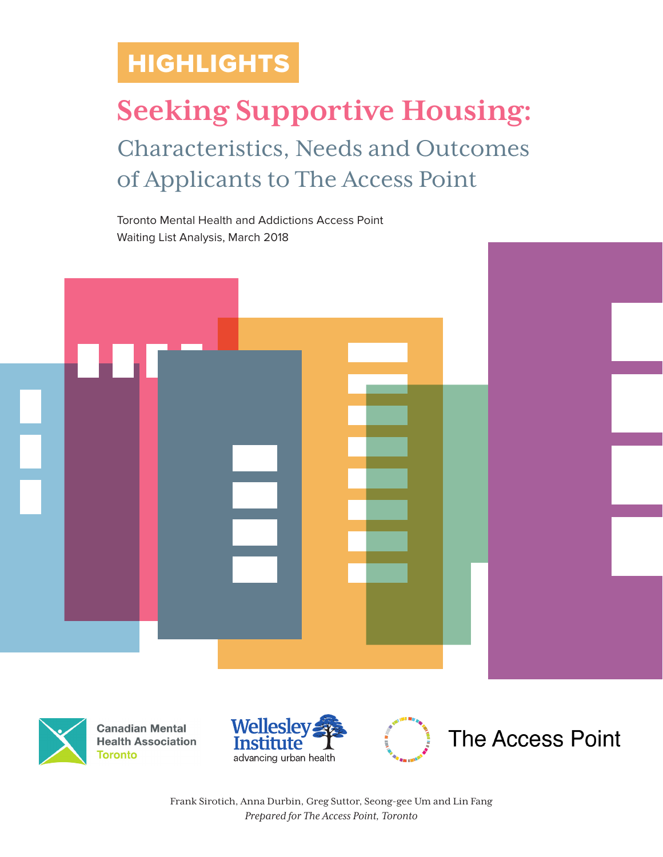## HIGHLIGHTS

# **Seeking Supportive Housing:** Characteristics, Needs and Outcomes of Applicants to The Access Point

Toronto Mental Health and Addictions Access Point Waiting List Analysis, March 2018





**Canadian Mental Health Association Toronto** 





Frank Sirotich, Anna Durbin, Greg Suttor, Seong-gee Um and Lin Fang *Prepared for The Access Point, Toronto*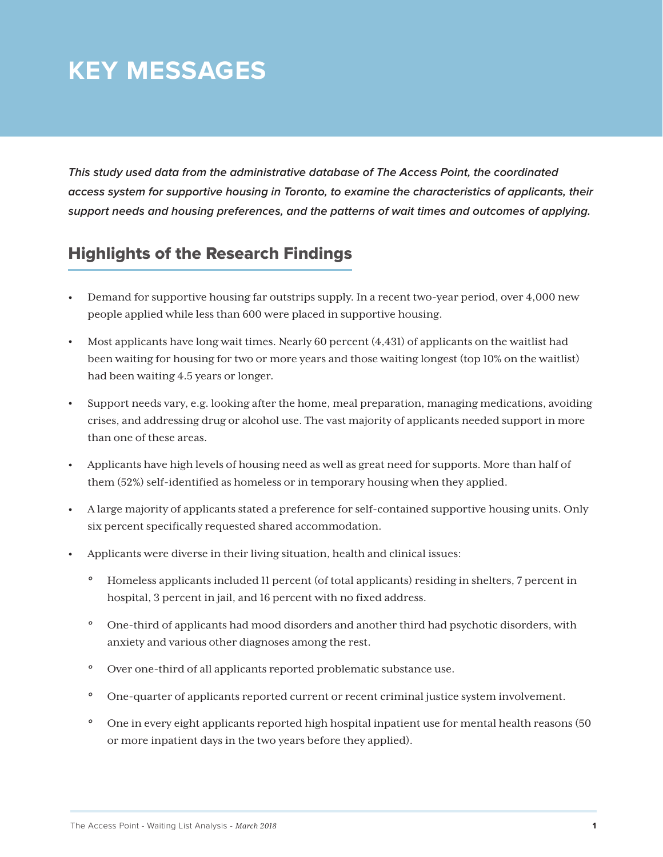## **KEY MESSAGES**

*This study used data from the administrative database of The Access Point, the coordinated access system for supportive housing in Toronto, to examine the characteristics of applicants, their support needs and housing preferences, and the patterns of wait times and outcomes of applying.*

#### Highlights of the Research Findings

- Demand for supportive housing far outstrips supply. In a recent two-year period, over 4,000 new people applied while less than 600 were placed in supportive housing.
- Most applicants have long wait times. Nearly 60 percent (4,431) of applicants on the waitlist had been waiting for housing for two or more years and those waiting longest (top 10% on the waitlist) had been waiting 4.5 years or longer.
- Support needs vary, e.g. looking after the home, meal preparation, managing medications, avoiding crises, and addressing drug or alcohol use. The vast majority of applicants needed support in more than one of these areas.
- Applicants have high levels of housing need as well as great need for supports. More than half of them (52%) self-identified as homeless or in temporary housing when they applied.
- A large majority of applicants stated a preference for self-contained supportive housing units. Only six percent specifically requested shared accommodation.
- Applicants were diverse in their living situation, health and clinical issues:
	- *°* Homeless applicants included 11 percent (of total applicants) residing in shelters, 7 percent in hospital, 3 percent in jail, and 16 percent with no fixed address.
	- *°* One-third of applicants had mood disorders and another third had psychotic disorders, with anxiety and various other diagnoses among the rest.
	- *°* Over one-third of all applicants reported problematic substance use.
	- *°* One-quarter of applicants reported current or recent criminal justice system involvement.
	- *°* One in every eight applicants reported high hospital inpatient use for mental health reasons (50 or more inpatient days in the two years before they applied).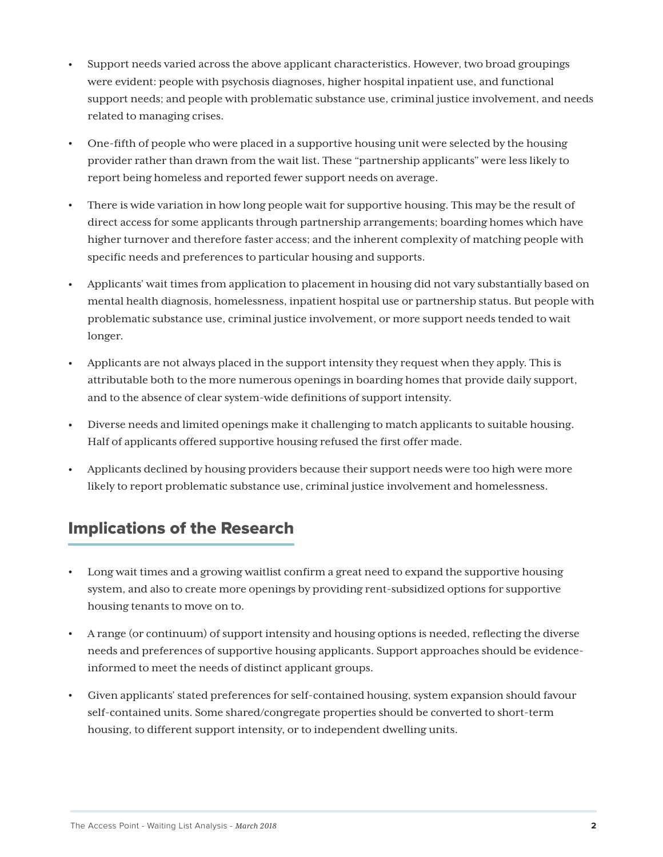- Support needs varied across the above applicant characteristics. However, two broad groupings were evident: people with psychosis diagnoses, higher hospital inpatient use, and functional support needs; and people with problematic substance use, criminal justice involvement, and needs related to managing crises.
- One-fifth of people who were placed in a supportive housing unit were selected by the housing provider rather than drawn from the wait list. These "partnership applicants" were less likely to report being homeless and reported fewer support needs on average.
- There is wide variation in how long people wait for supportive housing. This may be the result of direct access for some applicants through partnership arrangements; boarding homes which have higher turnover and therefore faster access; and the inherent complexity of matching people with specific needs and preferences to particular housing and supports.
- Applicants' wait times from application to placement in housing did not vary substantially based on mental health diagnosis, homelessness, inpatient hospital use or partnership status. But people with problematic substance use, criminal justice involvement, or more support needs tended to wait longer.
- Applicants are not always placed in the support intensity they request when they apply. This is attributable both to the more numerous openings in boarding homes that provide daily support, and to the absence of clear system-wide definitions of support intensity.
- Diverse needs and limited openings make it challenging to match applicants to suitable housing. Half of applicants offered supportive housing refused the first offer made.
- Applicants declined by housing providers because their support needs were too high were more likely to report problematic substance use, criminal justice involvement and homelessness.

#### Implications of the Research

- Long wait times and a growing waitlist confirm a great need to expand the supportive housing system, and also to create more openings by providing rent-subsidized options for supportive housing tenants to move on to.
- A range (or continuum) of support intensity and housing options is needed, reflecting the diverse needs and preferences of supportive housing applicants. Support approaches should be evidenceinformed to meet the needs of distinct applicant groups.
- Given applicants' stated preferences for self-contained housing, system expansion should favour self-contained units. Some shared/congregate properties should be converted to short-term housing, to different support intensity, or to independent dwelling units.